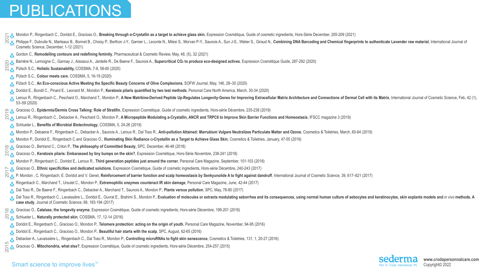**www.crodapersonnalcare.com**



- Mondon P., Ringenbach C., Doridot E., Gracioso O., **Breaking through α-Crystallin as a target to achieve glass skin**, Expression Cosmétique, Guide of cosmetic ingredients, Hors-Série December, 205-209 (2021)  $\overline{Q}$
- [Cosmetic Science, December, 1-12 \(2021\)](https://europepmc.org/article/med/34860432)
- [•](https://issuu.com/newmediab2b/docs/pcr_may_21_) Gordon C., **Remodelling contours and redefining feminity**[, Pharmaceutical & Cosmetic Review, May, 48, \(5\), 32 \(2021\)](https://issuu.com/newmediab2b/docs/pcr_may_21_)
- [•](https://fr.zone-secure.net/48287/1261175/#page=287) [Barrière N., Lemoigne C., Gannay J., Aissaoui A., Jardelle R., De Baene F., Saunois A.,](https://fr.zone-secure.net/48287/1261175/#page=287) **Supercritical CO<sup>2</sup> to produce eco-designed actives**, Expression Cosmétique Guide, 287-292 (2020)  $22$
- [•](http://media.cossma.com/epaper_en/2020/05/F15819FC9/Online_PDF_CSDE2005.pdf) Pütsch S.C., **Holistic Sustainability,** [COSSMA, 7-8, 58-60 \(2020\)](http://media.cossma.com/epaper_en/2020/07%2B08/AA3C02623/OnlinePDF_CSDE2007.pdf)
	- [•](http://media.cossma.com/epaper_en/2020/05/F15819FC9/Online_PDF_CSDE2005.pdf) Pütsch S.C., **Colour meets care**[, COSSMA, 5, 16-19 \(2020\)](http://media.cossma.com/epaper_en/2020/05/F15819FC9/Online_PDF_CSDE2005.pdf)
	- [•](https://www.sofw.com/en/shop/articles/product/1126-an-eco-conscious-active-meeting-the-specific-beauty-concerns-of-olive-complexions) Pütsch S.C., **[An Eco-conscious Active Meeting the Specific Beauty Concerns of Olive Complexions](https://www.sofw.com/en/shop/articles/product/1126-an-eco-conscious-active-meeting-the-specific-beauty-concerns-of-olive-complexions)**, SOFW Journal, May, 146, 28–30 (2020)
	- [•](https://www.personalcaremagazine.com/story/32107/keratosis-pilaris-quantified-by-two-test-methods) [Doridot E., Bondil C., Pinard E., Leonard M., Mondon P.,](https://www.personalcaremagazine.com/story/32107/keratosis-pilaris-quantified-by-two-test-methods) **Keratosis pilaris quantified by two test methods**, Personal Care North America, March, 30-34 (2020) Leroux R., Ringenbach C., Peschard O., Marchand T., Mondon P., [A New Matrikine-Derived Peptide Up-Regulates Longevity-Genes for Improving Extracellular Matrix Architecture and Connections of Dermal Cell with its Matrix](https://pubmed.ncbi.nlm.nih.gov/31596957/), In [53–59 \(2020\)](https://pubmed.ncbi.nlm.nih.gov/31596957/)
- Gracioso O., **Epidermis/Dermis Cross Talking: Role of Stratifin**, Expression Cosmétique, Guide of cosmetic ingredients, Hors-série Décembre, 235-238 (2019)
- 
- Schlueter L., **Benefits of Microbial Biotechnology**, COSSMA, 5, 24-26 (2019)
- 
- [•](https://www.cosmeticsandtoiletries.com/testing/efficacy/article/21837289/illuminating-skin-radiance-a-crystallin-as-a-target-to-achieve-glass-skin) Mondon P., Doridot E., Ringenbach C and Gracioso O., **Illuminating Skin Radiance** α**-Crystallin as a Target to Achieve Glass Skin**, Cosmetics & Toiletries, January, 47-55 (2019)
- Gracioso O., Bertrand C., Criton P., **The philosophy of Committed Beauty**, SPC, December, 46-48 (2018)  $\frac{8}{10}$
- Gracioso O., Keratosis pilaris: Embarassed by tiny bumps on the skin?, Expression Cosmétique, Hors-Série Novembre, 238-241 (2018) • Mondon P., Ringenbach C., Doridot E., Leroux R., **Third generation peptides just around the corner**, Personal Care Magazine, September, 101-103 (2018) • Gracioso O., **Ethnic specificities and dedicated solutions**, Expression Cosmétique, Guide of cosmetic ingredients, Hors-série Décembre, 240-243 (2017)
- P. Mondon, C. Ringenbach, E. Doridot and V. Genet, Reinforcement of barrier function and scalp homeostasis by Senkyunolide A to fight against dandruff, International Journal of Cosmetic Science, 39, 617–621 (2017)  $\frac{1}{2}$
- Ringenbach C., Marchand T., Ursulet C., Mondon P., **Extremophilic enzymes counteract IR skin damage**, Personal Care Magazine, June, 42-44 (2017)
- Dal Toso R., De Baene F., Ringenbach C., Debacker A., Marchand T., Saunois A., Mondon P., **Plants versus pollution**, SPC, May, 78-80 (2017)
- **case study**, Journal of Cosmetic Science, 68, 183-194 (2017)
- Gracioso O., **Catalase, the longevity enzyme**, Expression Cosmétique, Guide of cosmetic ingredients, Hors-série Décembre, 199-201 (2016) C <u>A.</u> Gracioso O., Catalase, the longevity enzyme, Expression Cosmeti<br>Q A. Schlueter L., **Naturally protected skin**, COSSMA, 17, 12-14 (2016)
- Doridot E., Ringenbach C., Gracioso O., Mondon P., **Telomere protection: acting on the origin of youth**, Personal Care Magazine, November, 94-95 (2016) • Doridot E., Ringenbach C., Gracioso O., Mondon P., **Beautiful hair starts with the scalp**, SPC, August, 62-65 (2016)
- **Pebacker A., Lavaissière L., Ringenbach C., Dal Toso R., Mondon P., Controlling microRNAs to fight skin senescence, Cosmetics & Toiletries, 131, 1, 20-27 (2016)** • Gracioso O., **Mitochondria, what else?**, Expression Cosmétique, Guide of cosmetic ingredients, Hors-série Décembre, 254-257 (2015)

### Smart science to improve lives<sup>™</sup>

2015

[Philippe F., Dubrulle N., Marteaux B., Bonnet B., Choisy P., Berthon J-Y., Garnier L., Leconte N., Milesi S., Morvan P-Y., Saunois A., Sun J-S., Weber S., Giraud N.,](https://europepmc.org/article/med/34860432) Combining DNA Barcoding and Chemical fingerprints to aut

O <u>A</u> Gracioso O., Epidermis/Dermis Cross Talking: Role of Stratifin, Expression Cosmetique, Guide of cosmetic ingredients, Hors-serie Decembre, 235-238 (2019)<br>လြန္ Leroux R., Ringenbach C., Debacker A., Peschard O., Mond

Mondon P., Debaene F., Ringenbach C., Debacker A., Saunois A., Leroux R., Dal Toso R., Anti-pollution Attained: Marrubium Vulgare Neutralizes Particulate Matter and Ozone, Cosmetics & Toiletries, March, 60-64 (2019)

Dal Toso R., Ringenbach C., Lavaissière L., Doridot E., Ouvrat E., Brahimi S., Mondon P., Evaluation of molecules or extracts modulating seborrhea and its consequences, using normal human culture of sebocytes and keratinoc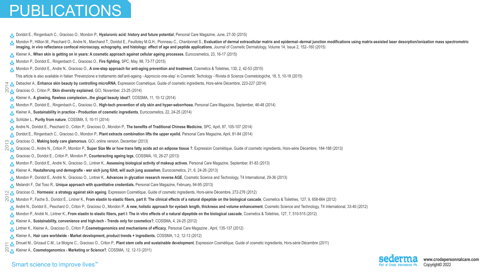**www.crodapersonnalcare.com** Copyright© 2022



[•](https://www.personalcaremagazine.com/story/14483/hyaluronic-acid-history-and-future-potential) Doridot E., Ringenbach C., Gracioso O., Mondon P., **Hyaluronic acid: history and future potential**, Personal Care Magazine, June, 27-30 (2015) Mondon P., Hillion M., Peschard O., Andre N., Marchand T., Doridot E., Feuilloley M.G.H., Pionneau C., Chardonnet S., Evaluation of dermal extracellular matrix and epidermal-dermal junction modifications using matrix-assis **imaging,** *in vivo* **reflectance confocal microscopy, echography, and histology: effect of age and peptide applications**, Journal of Cosmetic Dermatology, Volume 14, Issue 2, 152–160 (2015) • Kleiner A., **When skin is getting on in years: A cosmetic approach against cellular ageing processes**, Eurocosmetics, 23, 16-17 (2015) • Mondon P., Doridot E., Ringenbach C., Gracioso O., **Fire fighting**, SPC, May, 88, 73-77 (2015) [•](https://www.cosmeticsandtoiletries.com/testing/method-process/article/21836523/antiaging-in-a-different-light-assessing-how-chromophores-color-perception) Mondon P., Doridot E., Andre N., Gracioso O., **A one-step approach for anti-aging prevention and treatment**, Cosmetics & Toiletries, 130, 2, 42-53 (2015) This article is also available in Italian 'Prevenzione e trattamento dell'anti-ageing - Approccio one-step' in Cosmetic Techology - Rivista di Scienze Cosmetologiche, 18, 5, 10-18 (2015) **E.** Debacker A., Enhance skin beauty by controlling microRNA, Expression Cosmétique, Guide of cosmetic ingredients, Hors-série Décembre, 223-227 (2014) et **&** Debacker A., Enhance skin beauty by controlling microRNA, Expression Cos<br>المجموعة Gracioso O., Criton P., **Skin diversity explained**, GCI, November, 23-25 (2014) • Kleiner A., **A glowing, flawless complexion...the glogal beauty ideal?**, COSSMA, 11, 10-12 (2014) • Mondon P., Doridot E., Ringenbach C., Gracioso O., **High-tech prevention of oily skin and hyper-seborrhoea**, Personal Care Magazine, September, 46-48 (2014) • Kleiner A., **Sustainability in practice - Production of cosmetic ingredients**, Eurocosmetics, 22, 24-25 (2014) [•](https://www.cossma.com/fileadmin/all/cossma/Archiv/2014/05/COS1405_Gesamt-PDF_GB.pdf) Schlüter L., **Purity from nature**, COSSMA, 5, 10-11 (2014) • Andre N., Doridot E., Peschard O., Criton P., Gracioso O., Mondon P., **The benefits of Traditional Chinese Medicine**, SPC, April, 87, 105-107 (2014) • Doridot E., Ringenbach C., Gracioso O., Mondon P., **Plant extracts combination lifts the upper eyelid**, Personal Care Magazine, April, 81-84 (2014) • Gracioso O., **Making body care glamorous**, GCI, online version, December (2013) • Gracioso O., Andre N., Criton P., Mondon P., **Super Size Me or how trans fatty acids act on adipose tissue ?**, Expression Cosmétique, Guide of cosmetic ingredients, Hors-série Décembre, 184-188 (2013) • Gracioso O., Doridot E., Criton P., Mondon P., **Counteracting ageing legs**, COSSMA, 10, 26-27 (2013) • Mondon P., Doridot E., André N., Gracioso O., Lintner K., **Assessing biological activity of makeup actives**, Personal Care Magazine, September, 81-83 (2013) • Kleiner A., **Hautalterung und demografie - wer sich jung fühlt, will auch jung aussehen**, Eurocosmetics, 21, 6, 24-26 (2013) • Mondon P., Doridot E., André N., Gracioso O., Lintner K., **Advances in glycation research reverse AGE**, Cosmetic Science and Technology, T4 International, 29-36 (2013) • Melandri F., Dal Toso R., **Unique approach with quantitative credentials**, Personal Care Magazine, February, 94-95 (2013) • Gracioso O., **Hormesis: a strategy against skin ageing**, Expression Cosmétique, Guide of cosmetic ingredients, Hors-série Décembre, 272-276 (2012) O A. Gracioso O., **Hormesis: a strategy against skin ageing**, Expression Cosmetique, Guide of cosmetic ingredients, Hors-serie Decembre, 272-276 (2012)<br>O A. Mondon P., Fache S., Doridot E., Lintner K., **From elastin to ela** • André N., Doridot E., Peschard O., Criton P., Gracioso O., Mondon P., **A new, holistic approach for eyelash length, thickness and volume enhancement**, Cosmetic Science and Technology, T4 International, 33-40 (2012) • Mondon P., André N., Lintner K., **From elastin to elastic fibers, part I: The in vitro effects of a natural dipeptide on the biological cascade**, Cosmetics & Toiletries, 127, 7, 510-515 (2012) • Kleiner A., **Sustainability, convenience and high-tech - Trends only for cosmetics?**, COSSMA, 4, 24-25 (2012) • Lintner K., Kleiner A., Gracioso O., Criton P.,**Cosmetogenomics and mechanisms of efficacy**, Personal Care Magazine , April, 135-137 (2012) • Kleiner A., **Hair care worldwide - Market development, product trends + ingredients**, COSSMA, 1-2, 12-13 (2012) **E.** Drouet M., Grizaud C.M., Le Moigne C., Gracioso O., Criton P., Plant stem cells and sustainable development, Expression Cosmétique, Guide of cosmetic ingredients, Hors-série Décembre (2011) ed Drouet M., Grizaud C.M., Le Moigne C., Gracioso O., Critori P., **Plant stem cens and**<br>
2. Kleiner A., **Cosmetogenomics - Marketing or Science?**, COSSMA, 12, 12-13 (2011)  $22$ 

### Smart science to improve lives<sup>™</sup>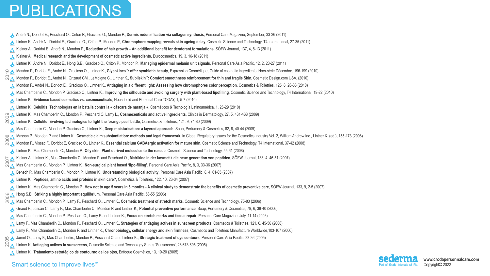**www.crodapersonnalcare.com** Copyright© 2022

• André N., Doridot E., Peschard O., Criton P., Gracioso O., Mondon P., **Dermis redensification via collagen synthesis**, Personal Care Magazine, September, 33-36 (2011) • Lintner K., André N., Doridot E., Gracioso O., Criton P., Mondon P., **Chromophore mapping reveals skin ageing delay**, Cosmetic Science and Technology, T4 International, 27-35 (2011) • Kleiner A., Doridot E., André N., Mondon P., **Reduction of hair growth – An additional benefit for deodorant formulations**, SÖFW Journal, 137, 4, 8-13 (2011) • Kleiner A., **Medical research and the development of cosmetic active ingredients**, Eurocosmetics, 19, 3, 16-18 (2011) • Lintner K., André N., Doridot E., Hong S.B., Gracioso O., Criton P., Mondon P., **Managing epidermal melanin unit signals**, Personal Care Asia Pacific, 12, 2, 23-27 (2011) CA Mondon P., Doridot E., André N., Gracioso O., Lintner K., Glycokines<sup>™</sup>: offer symbiotic beauty, Expression Cosmétique, Guide of cosmetic ingredients, Hors-série Décembre, 196-199 (2010) • Mondon P., Doridot E., André N., Grizaud CM., LeMoigne C., Lintner K., **Subliskin™: Comfort smoothness reinforcement for thin and fragile Skin**, Cosmetic Design.com USA, (2010) • Mondon P., André N., Doridot E., Gracioso O., Lintner K., **Antiaging in a different light: Assessing how chromophores color perception**, Cosmetics & Toiletries, 125, 8, 26-33 (2010) • Mas Chamberlin C., Mondon P.,Gracioso O., Lintner K., **Improving the silhouette and avoiding surgery with plant-based lipofilling**, Cosmetic Science and Technology, T4 International, 19-22 (2010) • Lintner K., **Evidence based cosmetics vs. cosmeceuticals**, Household and Personal Care TODAY, 1, 5-7 (2010) • Lintner K., **Celulitis: Technologías en la batalla contra la « cáscara de naranja «**, Cosméticos & Tecnología Latinoamérica, 1, 26-29 (2010) တ္လ <mark>နဲ့</mark> Lintner K., Mas Chamberlin C., Mondon P., Peschard O.,Lamy L., **Cosmeceuticals and active ingredients**, Clinics in Dermatology, 27, 5, 461-468 (2009)<br>လူ ေLintner K., **Cellulite: Evolving technologies to fight th** • Lintner K., **Cellulite: Evolving technologies to fight the 'orange peel' battle**, Cosmetics & Toiletries, 124, 9, 74-80 (2009) • Mas Chamberlin C., Mondon P.,Gracioso O., Lintner K., **Deep moisturisation: a layered approach**, Soap, Perfumery & Cosmetics, 82, 8, 40-44 (2009) Masson P., Mondon P. and Lintner K., Cosmetic claim substantiation: methods and legal framework, in Global Regulatory Issues for the Cosmetics Industry Vol. 2, William Andrew Inc., Lintner K. (ed.), 155-173 (2008) <u>ల ఈ</u> Masson P., Mondon P. and Lintner K., Cosmetic claim substantiation: methods and legal framework, in Global Regulatory Issues for the Cosmetics Industry Vol. 2, William Andrew<br>ని ని Mondon P., Vissac F., Doridot E • Lintner K., Mas Chamberlin C., Mondon P., **Oily skin: Plant derived molecules to the rescue**, Cosmetic Science and Technology, 55-61 (2008) S. A. Kleiner A., Lintner K., Mas-Chamberlin C., Mondon P. and Peschard O., **Matrikine in der kosmetik die neue generation von peptiden**, SOFW Journal, 133, 4, 46-51 (2007)<br>R. A. Mas Chamberlin C., Mondon P., Lintner K., • Mas Chamberlin C., Mondon P., Lintner K., **Non-surgical plant based 'lipo-filling'**, Personal Care Asia Pacific, 8, 3, 33-36 (2007) • Benech P., Mas Chamberlin C., Mondon P., Lintner K., **Understanding biological activity**, Personal Care Asia Pacific, 8, 4, 61-65 (2007) • Lintner K., **Peptides, amino acids and proteins in skin care?**, Cosmetics & Toiletries, 122, 10, 26-34 (2007) • Lintner K., Mas Chamberlin C., Mondon P., **How not to age 5 years in 6 months - A clinical study to demonstrate the benefits of cosmetic preventive care**, SÖFW Journal, 133, 9, 2-5 (2007) • Hong S.B., **Striking a highly important equilibrium**, Personal Care Asia Pacific, 53-55 (2006) 2006 Mas Chamberlin C., Mondon P., Lamy F., Peschard O., Lintner K., Cosmetic treatment of stretch marks, Cosmetic Science and Technology, 75-83 (2006) • Giraud F., Jossan C., Lamy F., Mas Chamberlin C., Mondon P. and Lintner K., **Potential preventive performance**, Soap, Perfumery & Cosmetics, 79, 6, 38-40 (2006) • Mas Chamberlin C., Mondon P., Peschard O., Lamy F. and Lintner K., **Focus on stretch marks and tissue repair**, Personal Care Magazine, July, 11-14 (2006) • Lamy F., Mas Chamberlin C., Mondon P., Peschard O., Lintner K., **Strategies of antiaging actives in sunscreen products**, Cosmetics & Toiletries, 121, 6, 45-56 (2006) • Lamy F., Mas Chamberlin C., Mondon P. and Lintner K., **Chronobiology, cellular energy and skin firmness**, Cosmetics and Toiletries Manufacture Worldwide,103-107 (2006) • Jamet O., Lamy F., Mas Chamberlin., Mondon P., Peschard O. and Lintner K., **Strategic treatment of eye contours**, Personal Care Asia Pacific, 33-36 (2005) 2005 • Lintner K, **Antiaging actives in sunscreens**, Cosmetic Science and Technology Series 'Sunscreens', 28 673-695 (2005) • Lintner K., **Tratamiento estratégico de contourno de los ojos**, Enfoque Cosmético, 13, 19-20 (2005)  $20<sub>o</sub>$ 

#### Smart science to improve lives<sup>™</sup>